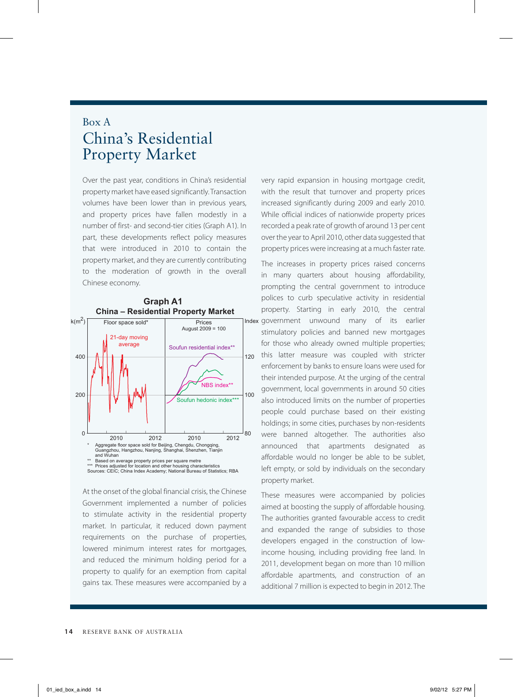## Box A China's Residential Property Market

Over the past year, conditions in China's residential property market have eased significantly. Transaction volumes have been lower than in previous years, and property prices have fallen modestly in a number of first- and second-tier cities (Graph A1). In part, these developments reflect policy measures that were introduced in 2010 to contain the property market, and they are currently contributing to the moderation of growth in the overall Chinese economy.





At the onset of the global financial crisis, the Chinese Government implemented a number of policies to stimulate activity in the residential property market. In particular, it reduced down payment requirements on the purchase of properties, lowered minimum interest rates for mortgages, and reduced the minimum holding period for a property to qualify for an exemption from capital gains tax. These measures were accompanied by a very rapid expansion in housing mortgage credit, with the result that turnover and property prices increased significantly during 2009 and early 2010. While official indices of nationwide property prices recorded a peak rate of growth of around 13 per cent over the year to April 2010, other data suggested that property prices were increasing at a much faster rate.

The increases in property prices raised concerns in many quarters about housing affordability, prompting the central government to introduce polices to curb speculative activity in residential property. Starting in early 2010, the central Index government unwound many of its earlier stimulatory policies and banned new mortgages for those who already owned multiple properties; this latter measure was coupled with stricter enforcement by banks to ensure loans were used for their intended purpose. At the urging of the central government, local governments in around 50 cities also introduced limits on the number of properties people could purchase based on their existing holdings; in some cities, purchases by non-residents were banned altogether. The authorities also announced that apartments designated as affordable would no longer be able to be sublet, left empty, or sold by individuals on the secondary property market.

These measures were accompanied by policies aimed at boosting the supply of affordable housing. The authorities granted favourable access to credit and expanded the range of subsidies to those developers engaged in the construction of lowincome housing, including providing free land. In 2011, development began on more than 10 million affordable apartments, and construction of an additional 7 million is expected to begin in 2012. The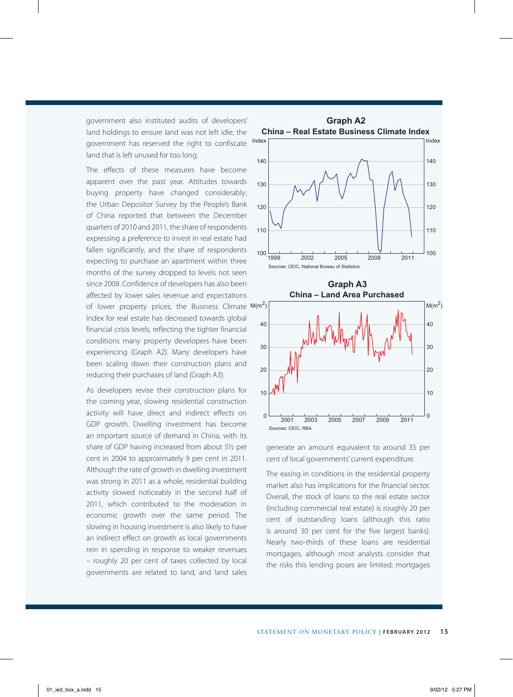government also instituted audits of developers' land holdings to ensure land was not left idle; the government has reserved the right to confiscate land that is left unused for too long.

The effects of these measures have become apparent over the past year. Attitudes towards buying property have changed considerably; the Urban Depositor Survey by the People's Bank of China reported that between the December quarters of 2010 and 2011, the share of respondents expressing a preference to invest in real estate had fallen significantly, and the share of respondents expecting to purchase an apartment within three months of the survey dropped to levels not seen since 2008. Confidence of developers has also been affected by lower sales revenue and expectations of lower property prices; the Business Climate  $M(m^2)$ Index for real estate has decreased towards global financial crisis levels, reflecting the tighter financial conditions many property developers have been experiencing (Graph A2). Many developers have been scaling down their construction plans and reducing their purchases of land (Graph A3).

As developers revise their construction plans for the coming year, slowing residential construction activity will have direct and indirect effects on GDP growth. Dwelling investment has become an important source of demand in China, with its share of GDP having increased from about 5½ per cent in 2004 to approximately 9 per cent in 2011. Although the rate of growth in dwelling investment was strong in 2011 as a whole, residential building activity slowed noticeably in the second half of 2011, which contributed to the moderation in economic growth over the same period. The slowing in housing investment is also likely to have an indirect effect on growth as local governments rein in spending in response to weaker revenues – roughly 20 per cent of taxes collected by local governments are related to land, and land sales



generate an amount equivalent to around 35 per cent of local governments' current expenditure.

The easing in conditions in the residential property market also has implications for the financial sector. Overall, the stock of loans to the real estate sector (including commercial real estate) is roughly 20 per cent of outstanding loans (although this ratio is around 30 per cent for the five largest banks). Nearly two-thirds of these loans are residential mortgages, although most analysts consider that the risks this lending poses are limited; mortgages